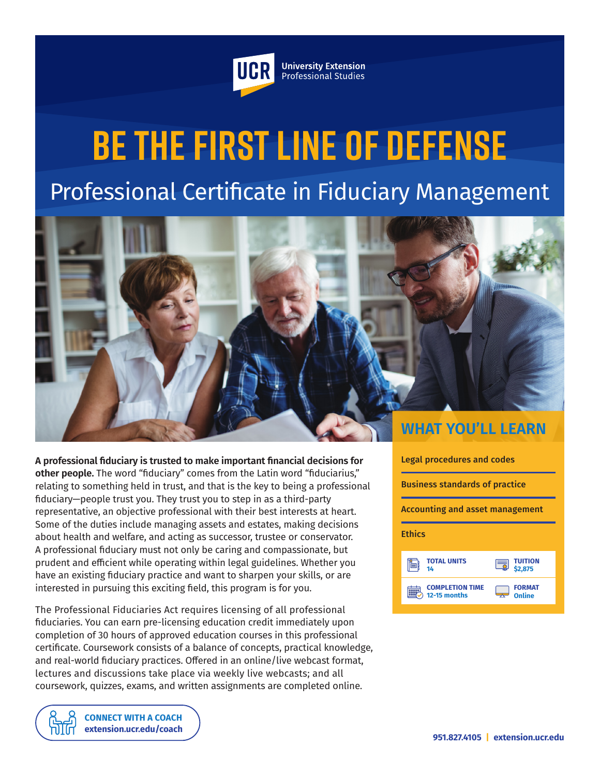

**University Extension** Professional Studies

# **Be the First Line of Defense** Professional Certificate in Fiduciary Management



**A professional fiduciary is trusted to make important financial decisions for other people.** The word "fiduciary" comes from the Latin word "fiduciarius," relating to something held in trust, and that is the key to being a professional fiduciary—people trust you. They trust you to step in as a third-party representative, an objective professional with their best interests at heart. Some of the duties include managing assets and estates, making decisions about health and welfare, and acting as successor, trustee or conservator. A professional fiduciary must not only be caring and compassionate, but prudent and efficient while operating within legal guidelines. Whether you have an existing fiduciary practice and want to sharpen your skills, or are interested in pursuing this exciting field, this program is for you.

The Professional Fiduciaries Act requires licensing of all professional fiduciaries. You can earn pre-licensing education credit immediately upon completion of 30 hours of approved education courses in this professional certificate. Coursework consists of a balance of concepts, practical knowledge, and real-world fiduciary practices. Offered in an online/live webcast format, lectures and discussions take place via weekly live webcasts; and all coursework, quizzes, exams, and written assignments are completed online.





**[CONNECT WITH A COACH](https://extension.ucr.edu/studentresources/studentsuccesscoaches/studentsuccesscoaches) [extension.ucr.edu/coach](http://extension.ucr.edu/coach)**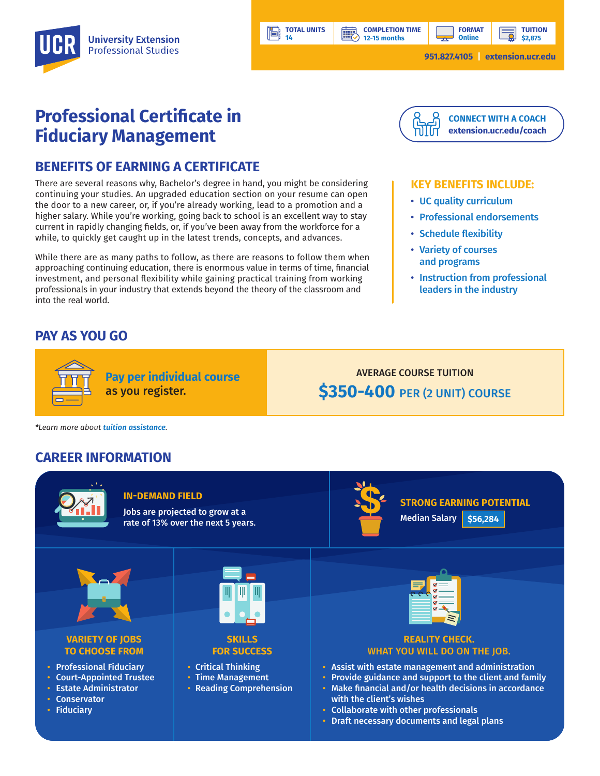**TUITION**

# **Professional Certificate in Fiduciary Management**

# **BENEFITS OF EARNING A CERTIFICATE**

There are several reasons why, Bachelor's degree in hand, you might be considering continuing your studies. An upgraded education section on your resume can open the door to a new career, or, if you're already working, lead to a promotion and a higher salary. While you're working, going back to school is an excellent way to stay current in rapidly changing fields, or, if you've been away from the workforce for a while, to quickly get caught up in the latest trends, concepts, and advances.

While there are as many paths to follow, as there are reasons to follow them when approaching continuing education, there is enormous value in terms of time, financial investment, and personal flexibility while gaining practical training from working professionals in your industry that extends beyond the theory of the classroom and into the real world.

# **PAY AS YOU GO**



**COMPLETION TIME 12-15 months**

**BBP** 

#### **KEY BENEFITS INCLUDE:**

- UC quality curriculum
- Professional endorsements
- Schedule flexibility
- Variety of courses and programs
- Instruction from professional leaders in the industry

**Pay per individual course**

**TOTAL UNITS 14**

Ħ

as you register.

AVERAGE COURSE TUITION **\$350-400** PER (2 UNIT) COURSE

*\*Learn more about tuition assistance.*

# **CAREER INFORMATION**



#### **IN-DEMAND FIELD**

Jobs are projected to grow at a rate of 13% over the next 5 years.



**STRONG EARNING POTENTIAL** Median Salary **\$56,284**



#### **VARIETY OF JOBS TO CHOOSE FROM**

- Professional Fiduciary
- Court-Appointed Trustee
- Estate Administrator
- **Conservator** • Fiduciary



**SKILLS FOR SUCCESS**

- Critical Thinking
- Time Management
- Reading Comprehension



#### **REALITY CHECK.**  WHAT YOU WILL DO ON THE JOB.

- Assist with estate management and administration
- Provide guidance and support to the client and family
- Make financial and/or health decisions in accordance with the client's wishes
- Collaborate with other professionals
- Draft necessary documents and legal plans